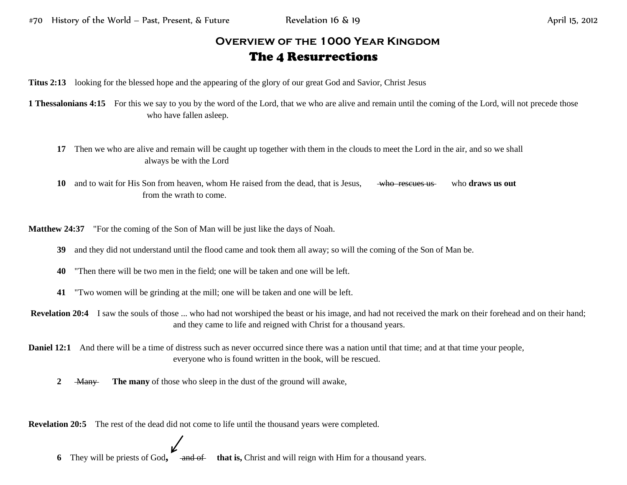## **Overview of the 1000 Year Kingdom** The 4 Resurrections

**Titus 2:13** looking for the blessed hope and the appearing of the glory of our great God and Savior, Christ Jesus

**1 Thessalonians 4:15** For this we say to you by the word of the Lord, that we who are alive and remain until the coming of the Lord, will not precede those who have fallen asleep.

**17** Then we who are alive and remain will be caught up together with them in the clouds to meet the Lord in the air, and so we shall always be with the Lord

**10** and to wait for His Son from heaven, whom He raised from the dead, that is Jesus, who rescues us who **draws us out** from the wrath to come.

**Matthew 24:37** "For the coming of the Son of Man will be just like the days of Noah.

- **39** and they did not understand until the flood came and took them all away; so will the coming of the Son of Man be.
- **40** "Then there will be two men in the field; one will be taken and one will be left.
- **41** "Two women will be grinding at the mill; one will be taken and one will be left.

**Revelation 20:4** I saw the souls of those ... who had not worshiped the beast or his image, and had not received the mark on their forehead and on their hand; and they came to life and reigned with Christ for a thousand years.

**Daniel 12:1** And there will be a time of distress such as never occurred since there was a nation until that time; and at that time your people, everyone who is found written in the book, will be rescued.

**2 Many The many** of those who sleep in the dust of the ground will awake,

**Revelation 20:5** The rest of the dead did not come to life until the thousand years were completed.

**6** They will be priests of God, and of that is, Christ and will reign with Him for a thousand years.